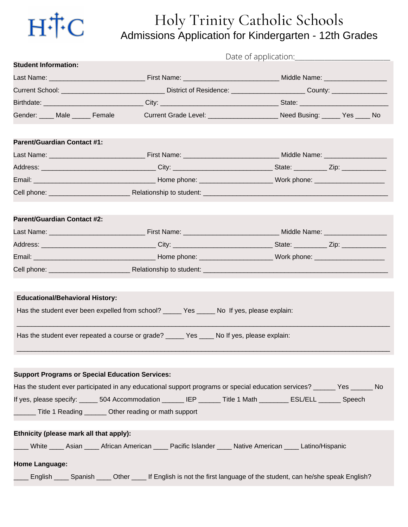

## Holy Trinity Catholic Schools Admissions Application for Kindergarten - 12th Grades

| <b>Student Information:</b>                                                                                       |  |                                                                                                                                                                                                                   |  |
|-------------------------------------------------------------------------------------------------------------------|--|-------------------------------------------------------------------------------------------------------------------------------------------------------------------------------------------------------------------|--|
|                                                                                                                   |  |                                                                                                                                                                                                                   |  |
|                                                                                                                   |  |                                                                                                                                                                                                                   |  |
|                                                                                                                   |  |                                                                                                                                                                                                                   |  |
|                                                                                                                   |  | Gender: ____ Male _____ Female Current Grade Level: _____________________ Need Busing: _____ Yes ____ No                                                                                                          |  |
| <b>Parent/Guardian Contact #1:</b>                                                                                |  |                                                                                                                                                                                                                   |  |
|                                                                                                                   |  |                                                                                                                                                                                                                   |  |
|                                                                                                                   |  | Address: __________________________________City: ______________________________State: ____________Zip: ______________                                                                                             |  |
|                                                                                                                   |  |                                                                                                                                                                                                                   |  |
|                                                                                                                   |  | Cell phone: <b>Example 2018</b> Relationship to student: <b>Cell phone: Cell phone: Cell phone: Cell phone: Cell phone: Cell phone: Cell phone: Cell phone: Cell phone: Cell phone: Cell phone: Cell phone: C</b> |  |
| <b>Parent/Guardian Contact #2:</b>                                                                                |  |                                                                                                                                                                                                                   |  |
|                                                                                                                   |  |                                                                                                                                                                                                                   |  |
|                                                                                                                   |  |                                                                                                                                                                                                                   |  |
|                                                                                                                   |  |                                                                                                                                                                                                                   |  |
|                                                                                                                   |  |                                                                                                                                                                                                                   |  |
|                                                                                                                   |  |                                                                                                                                                                                                                   |  |
| <b>Educational/Behavioral History:</b>                                                                            |  |                                                                                                                                                                                                                   |  |
| Has the student ever been expelled from school? ______ Yes _____ No If yes, please explain:                       |  |                                                                                                                                                                                                                   |  |
| Has the student ever repeated a course or grade? ______ Yes ____ No If yes, please explain:                       |  |                                                                                                                                                                                                                   |  |
|                                                                                                                   |  |                                                                                                                                                                                                                   |  |
| <b>Support Programs or Special Education Services:</b>                                                            |  |                                                                                                                                                                                                                   |  |
|                                                                                                                   |  | Has the student ever participated in any educational support programs or special education services? ______ Yes ______ No                                                                                         |  |
|                                                                                                                   |  | If yes, please specify: ______ 504 Accommodation _______ IEP _______ Title 1 Math ________ ESL/ELL _______ Speech                                                                                                 |  |
| Title 1 Reading _______ Other reading or math support                                                             |  |                                                                                                                                                                                                                   |  |
| Ethnicity (please mark all that apply):                                                                           |  |                                                                                                                                                                                                                   |  |
| _____ White _____ Asian _____ African American _____ Pacific Islander _____ Native American _____ Latino/Hispanic |  |                                                                                                                                                                                                                   |  |
| <b>Home Language:</b>                                                                                             |  |                                                                                                                                                                                                                   |  |
|                                                                                                                   |  | English _____ Spanish _____ Other _____ If English is not the first language of the student, can he/she speak English?                                                                                            |  |